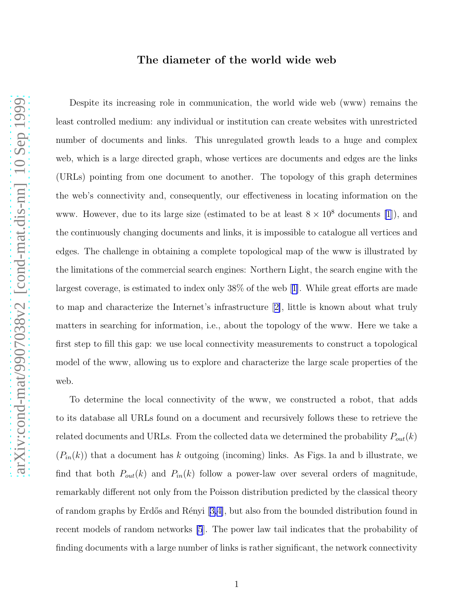## The diameter of the world wide web

Despite its increasing role in communication, the world wide web (www) remains the least controlled medium: any individual or institution can create websites with unrestricted number of documents and links. This unregulated growth leads to a huge and complex web, which is a large directed graph, whose vertices are documents and edges are the links (URLs) pointing from one document to another. The topology of this graph determines the web's connectivity and, consequently, our effectiveness in locating information on the www. However, due to its large size (estimated to be at least  $8 \times 10^8$  documents [\[1](#page-3-0)]), and the continuously changing documents and links, it is impossible to catalogue all vertices and edges. The challenge in obtaining a complete topological map of the www is illustrated by the limitations of the commercial search engines: Northern Light, the search engine with the largest coverage, is estimated to index only 38% of the web[[1\]](#page-3-0). While great efforts are made to map and characterize the Internet's infrastructure[[2\]](#page-3-0), little is known about what truly matters in searching for information, i.e., about the topology of the www. Here we take a first step to fill this gap: we use local connectivity measurements to construct a topological model of the www, allowing us to explore and characterize the large scale properties of the

To determine the local connectivity of the www, we constructed a robot, that adds to its database all URLs found on a document and recursively follows these to retrieve the related documents and URLs. From the collected data we determined the probability  $P_{out}(k)$  $(P_{in}(k))$  that a document has k outgoing (incoming) links. As Figs. 1a and b illustrate, we find that both  $P_{out}(k)$  and  $P_{in}(k)$  follow a power-law over several orders of magnitude, remarkably different not only from the Poisson distribution predicted by the classical theory ofrandom graphs by Erdős and Rényi  $[3,4]$  $[3,4]$ , but also from the bounded distribution found in recent models of random networks [\[5](#page-3-0)]. The power law tail indicates that the probability of finding documents with a large number of links is rather significant, the network connectivity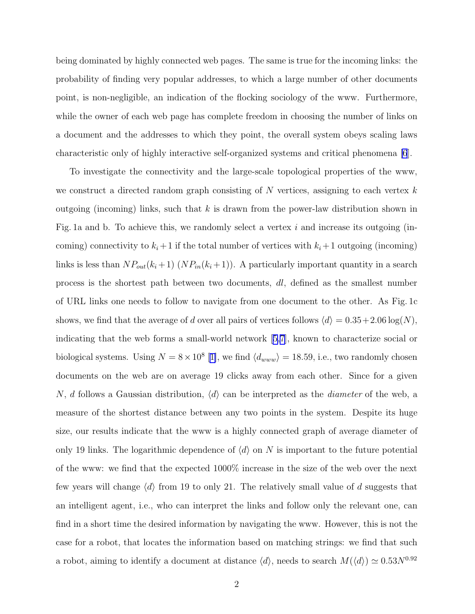being dominated by highly connected web pages. The same is true for the incoming links: the probability of finding very popular addresses, to which a large number of other documents point, is non-negligible, an indication of the flocking sociology of the www. Furthermore, while the owner of each web page has complete freedom in choosing the number of links on a document and the addresses to which they point, the overall system obeys scaling laws characteristic only of highly interactive self-organized systems and critical phenomena [\[6](#page-3-0)].

To investigate the connectivity and the large-scale topological properties of the www, we construct a directed random graph consisting of  $N$  vertices, assigning to each vertex  $k$ outgoing (incoming) links, such that  $k$  is drawn from the power-law distribution shown in Fig. 1a and b. To achieve this, we randomly select a vertex  $i$  and increase its outgoing (incoming) connectivity to  $k_i + 1$  if the total number of vertices with  $k_i + 1$  outgoing (incoming) links is less than  $NP_{out}(k_i+1)$   $(NP_{in}(k_i+1))$ . A particularly important quantity in a search process is the shortest path between two documents, dl, defined as the smallest number of URL links one needs to follow to navigate from one document to the other. As Fig. 1c shows, we find that the average of d over all pairs of vertices follows  $\langle d \rangle = 0.35+2.06 \log(N)$ , indicating that the web forms a small-world network [\[5,7](#page-3-0)], known to characterize social or biological systems. Using  $N = 8 \times 10^8$  [[1\]](#page-3-0), we find  $\langle d_{www} \rangle = 18.59$ , i.e., two randomly chosen documents on the web are on average 19 clicks away from each other. Since for a given N, d follows a Gaussian distribution,  $\langle d \rangle$  can be interpreted as the *diameter* of the web, a measure of the shortest distance between any two points in the system. Despite its huge size, our results indicate that the www is a highly connected graph of average diameter of only 19 links. The logarithmic dependence of  $\langle d \rangle$  on N is important to the future potential of the www: we find that the expected 1000% increase in the size of the web over the next few years will change  $\langle d \rangle$  from 19 to only 21. The relatively small value of d suggests that an intelligent agent, i.e., who can interpret the links and follow only the relevant one, can find in a short time the desired information by navigating the www. However, this is not the case for a robot, that locates the information based on matching strings: we find that such a robot, aiming to identify a document at distance  $\langle d \rangle$ , needs to search  $M(\langle d \rangle) \simeq 0.53N^{0.92}$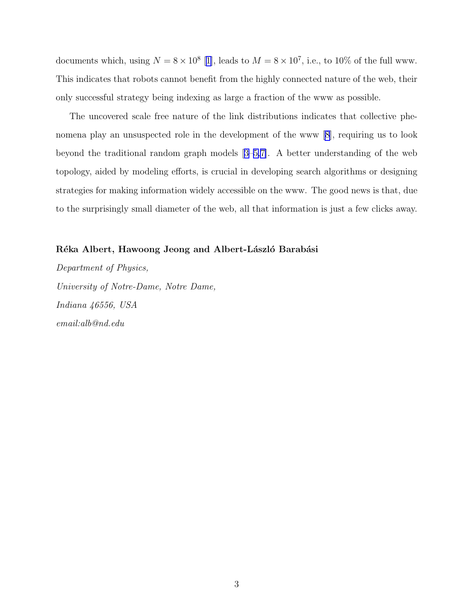documents which, using  $N = 8 \times 10^8$  [[1\]](#page-3-0), leads to  $M = 8 \times 10^7$ , i.e., to 10% of the full www. This indicates that robots cannot benefit from the highly connected nature of the web, their only successful strategy being indexing as large a fraction of the www as possible.

The uncovered scale free nature of the link distributions indicates that collective phenomena play an unsuspected role in the development of the www [\[8](#page-3-0)], requiring us to look beyond the traditional random graph models[[3–5,7\]](#page-3-0). A better understanding of the web topology, aided by modeling efforts, is crucial in developing search algorithms or designing strategies for making information widely accessible on the www. The good news is that, due to the surprisingly small diameter of the web, all that information is just a few clicks away.

## Réka Albert, Hawoong Jeong and Albert-László Barabási

*Department of Physics, University of Notre-Dame, Notre Dame, Indiana 46556, USA email:alb@nd.edu*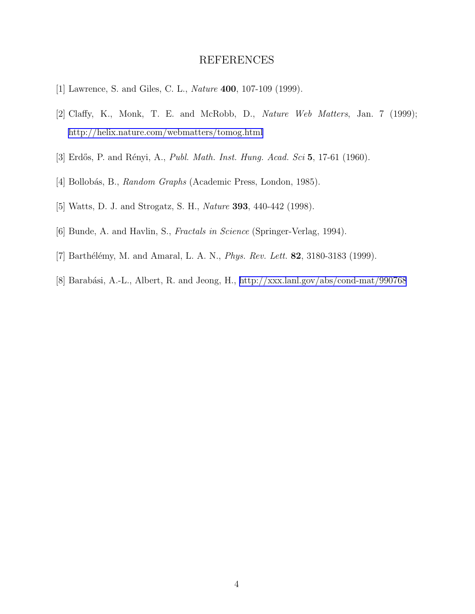## REFERENCES

- <span id="page-3-0"></span>[1] Lawrence, S. and Giles, C. L., *Nature* 400, 107-109 (1999).
- [2] Claffy, K., Monk, T. E. and McRobb, D., *Nature Web Matters*, Jan. 7 (1999); <http://helix.nature.com/webmatters/tomog.html>
- [3] Erdős, P. and Rényi, A., *Publ. Math. Inst. Hung. Acad. Sci* 5, 17-61 (1960).
- [4] Bollob´as, B., *Random Graphs* (Academic Press, London, 1985).
- [5] Watts, D. J. and Strogatz, S. H., *Nature* 393, 440-442 (1998).
- [6] Bunde, A. and Havlin, S., *Fractals in Science* (Springer-Verlag, 1994).
- [7] Barthélémy, M. and Amaral, L. A. N., *Phys. Rev. Lett.* **82**, 3180-3183 (1999).
- [8] Barabási, A.-L., Albert, R. and Jeong, H.,<http://xxx.lanl.gov/abs/cond-mat/990768>